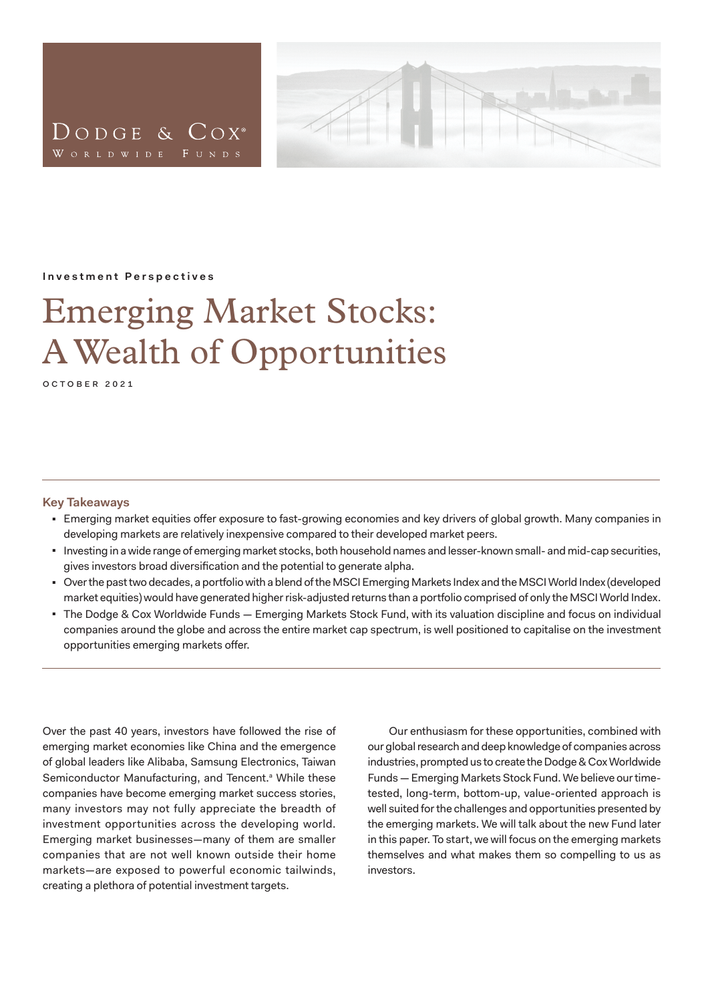<span id="page-0-0"></span>



#### **Investment Perspectives**

# Emerging Market Stocks: A Wealth of Opportunities

october 2021

#### **Key Takeaways**

- Emerging market equities offer exposure to fast-growing economies and key drivers of global growth. Many companies in developing markets are relatively inexpensive compared to their developed market peers.
- Investing in a wide range of emerging market stocks, both household names and lesser-known small- and mid-cap securities, gives investors broad diversification and the potential to generate alpha.
- <sup>◼</sup> Over the past two decades, a portfolio with a blend of the MSCI Emerging Markets Index and the MSCI World Index (developed market equities) would have generated higher risk-adjusted returns than a portfolio comprised of only the MSCI World Index.
- The Dodge & Cox Worldwide Funds Emerging Markets Stock Fund, with its valuation discipline and focus on individual companies around the globe and across the entire market cap spectrum, is well positioned to capitalise on the investment opportunities emerging markets offer.

Over the past 40 years, investors have followed the rise of emerging market economies like China and the emergence of global leaders like Alibaba, Samsung Electronics, Taiwan Semiconductor Manufacturing, and Tencent.<sup>ª</sup> While these companies have become emerging market success stories, many investors may not fully appreciate the breadth of investment opportunities across the developing world. Emerging market businesses—many of them are smaller companies that are not well known outside their home markets—are exposed to powerful economic tailwinds, creating a plethora of potential investment targets.

Our enthusiasm for these opportunities, combined with our global research and deep knowledge of companies across industries, prompted us to create the Dodge & Cox Worldwide Funds — Emerging Markets Stock Fund. We believe our timetested, long-term, bottom-up, value-oriented approach is well suited for the challenges and opportunities presented by the emerging markets. We will talk about the new Fund later in this paper. To start, we will focus on the emerging markets themselves and what makes them so compelling to us as investors.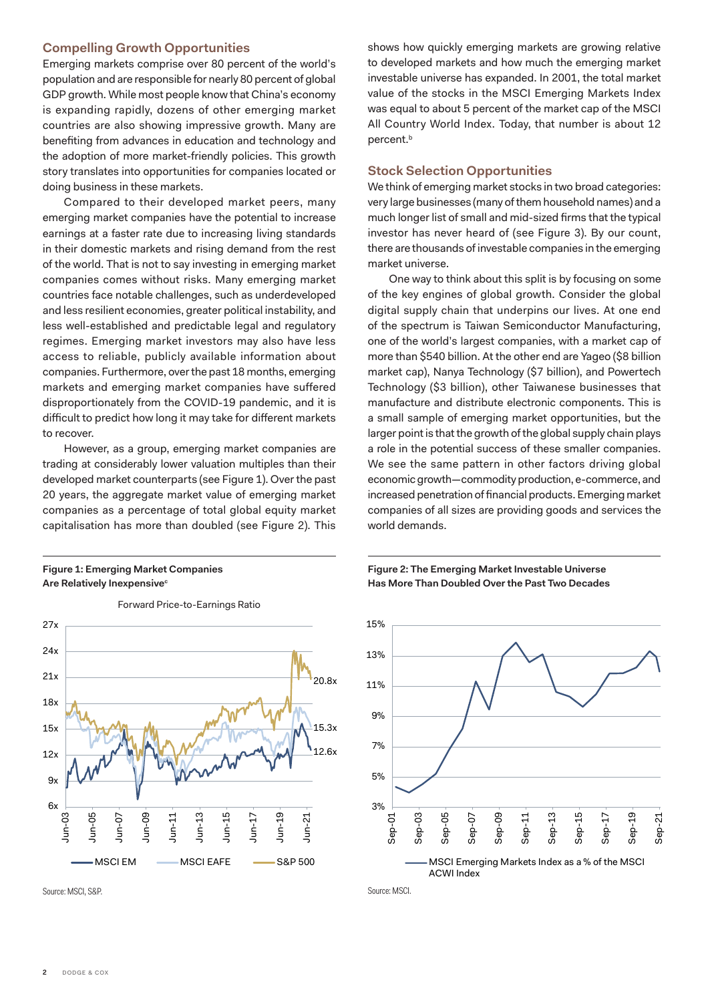## <span id="page-1-0"></span>**Compelling Growth Opportunities**

Emerging markets comprise over 80 percent of the world's population and are responsible for nearly 80 percent of global GDP growth. While most people know that China's economy is expanding rapidly, dozens of other emerging market countries are also showing impressive growth. Many are benefiting from advances in education and technology and the adoption of more market-friendly policies. This growth story translates into opportunities for companies located or doing business in these markets.

Compared to their developed market peers, many emerging market companies have the potential to increase earnings at a faster rate due to increasing living standards in their domestic markets and rising demand from the rest of the world. That is not to say investing in emerging market companies comes without risks. Many emerging market countries face notable challenges, such as underdeveloped and less resilient economies, greater political instability, and less well-established and predictable legal and regulatory regimes. Emerging market investors may also have less access to reliable, publicly available information about companies. Furthermore, over the past 18 months, emerging markets and emerging market companies have suffered disproportionately from the COVID-19 pandemic, and it is difficult to predict how long it may take for different markets to recover.

However, as a group, emerging market companies are trading at considerably lower valuation multiples than their developed market counterparts (see Figure 1). Over the past 20 years, the aggregate market value of emerging market companies as a percentage of total global equity market capitalisation has more than doubled (see Figure 2). This

### **Figure 1: Emerging Market Companies Are Relatively Inexpensive[c](#page-5-0)**



Forward Price-to-Earnings Ratio

shows how quickly emerging markets are growing relative to developed markets and how much the emerging market investable universe has expanded. In 2001, the total market value of the stocks in the MSCI Emerging Markets Index was equal to about 5 percent of the market cap of the MSCI All Country World Index. Today, that number is about 12 percent.<sup>b</sup>

## **Stock Selection Opportunities**

We think of emerging market stocks in two broad categories: very large businesses (many of them household names) and a much longer list of small and mid-sized firms that the typical investor has never heard of (see Figure 3). By our count, there are thousands of investable companies in the emerging market universe.

One way to think about this split is by focusing on some of the key engines of global growth. Consider the global digital supply chain that underpins our lives. At one end of the spectrum is Taiwan Semiconductor Manufacturing, one of the world's largest companies, with a market cap of more than \$540 billion. At the other end are Yageo (\$8 billion market cap), Nanya Technology (\$7 billion), and Powertech Technology (\$3 billion), other Taiwanese businesses that manufacture and distribute electronic components. This is a small sample of emerging market opportunities, but the larger point is that the growth of the global supply chain plays a role in the potential success of these smaller companies. We see the same pattern in other factors driving global economic growth—commodity production, e-commerce, and increased penetration of financial products. Emerging market companies of all sizes are providing goods and services the world demands.

### **Figure 2: The Emerging Market Investable Universe Has More Than Doubled Over the Past Two Decades**



Source: MSCI.

Source: MSCI, S&P.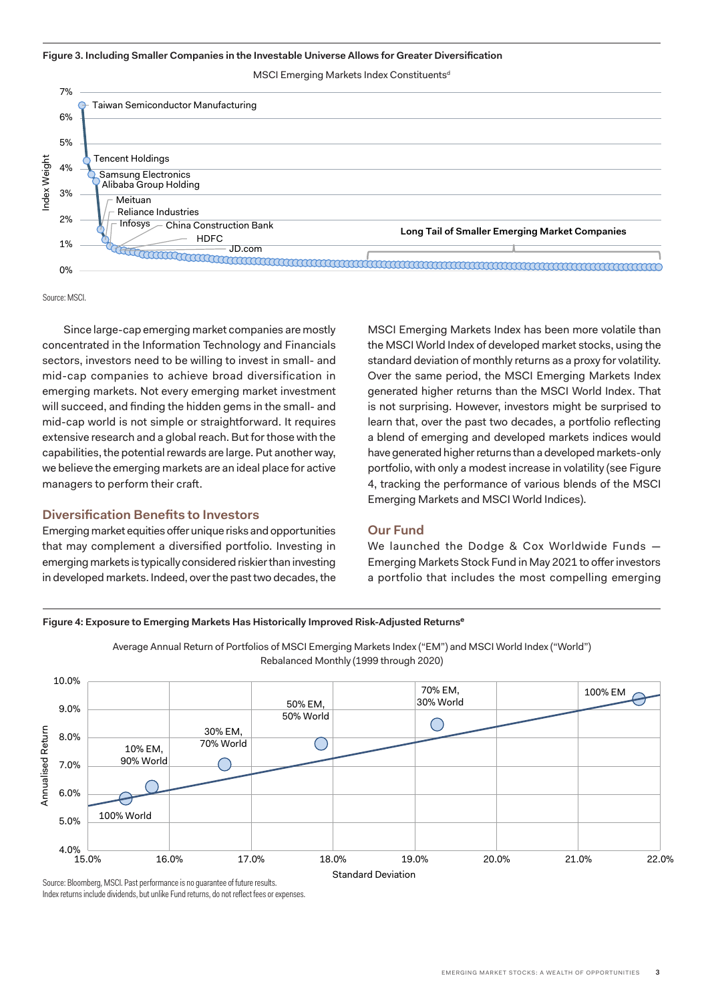<span id="page-2-0"></span>**Figure 3. Including Smaller Companies in the Investable Universe Allows for Greater Diversification**

MSCI Emerging Markets Index Constituents<sup>d</sup>



Source: MSCI.

Since large-cap emerging market companies are mostly concentrated in the Information Technology and Financials sectors, investors need to be willing to invest in small- and mid-cap companies to achieve broad diversification in emerging markets. Not every emerging market investment will succeed, and finding the hidden gems in the small- and mid-cap world is not simple or straightforward. It requires extensive research and a global reach. But for those with the capabilities, the potential rewards are large. Put another way, we believe the emerging markets are an ideal place for active managers to perform their craft.

# **Diversification Benefits to Investors**

Emerging market equities offer unique risks and opportunities that may complement a diversified portfolio. Investing in emerging markets is typically considered riskier than investing in developed markets. Indeed, over the past two decades, the MSCI Emerging Markets Index has been more volatile than the MSCI World Index of developed market stocks, using the standard deviation of monthly returns as a proxy for volatility. Over the same period, the MSCI Emerging Markets Index generated higher returns than the MSCI World Index. That is not surprising. However, investors might be surprised to learn that, over the past two decades, a portfolio reflecting a blend of emerging and developed markets indices would have generated higher returns than a developed markets-only portfolio, with only a modest increase in volatility (see Figure 4, tracking the performance of various blends of the MSCI Emerging Markets and MSCI World Indices).

## **Our Fund**

We launched the Dodge & Cox Worldwide Funds — Emerging Markets Stock Fund in May 2021 to offer investors a portfolio that includes the most compelling emerging

#### **Figure 4: Exposure to Emerging Markets Has Historically Improved Risk-Adjusted Returnse**



Average Annual Return of Portfolios of MSCI Emerging Markets Index ("EM") and MSCI World Index ("World") Rebalanced Monthly (1999 through 2020)

Source: Bloomberg, MSCI. Past performance is no guarantee of future results. Index returns include dividends, but unlike Fund returns, do not reflect fees or expenses.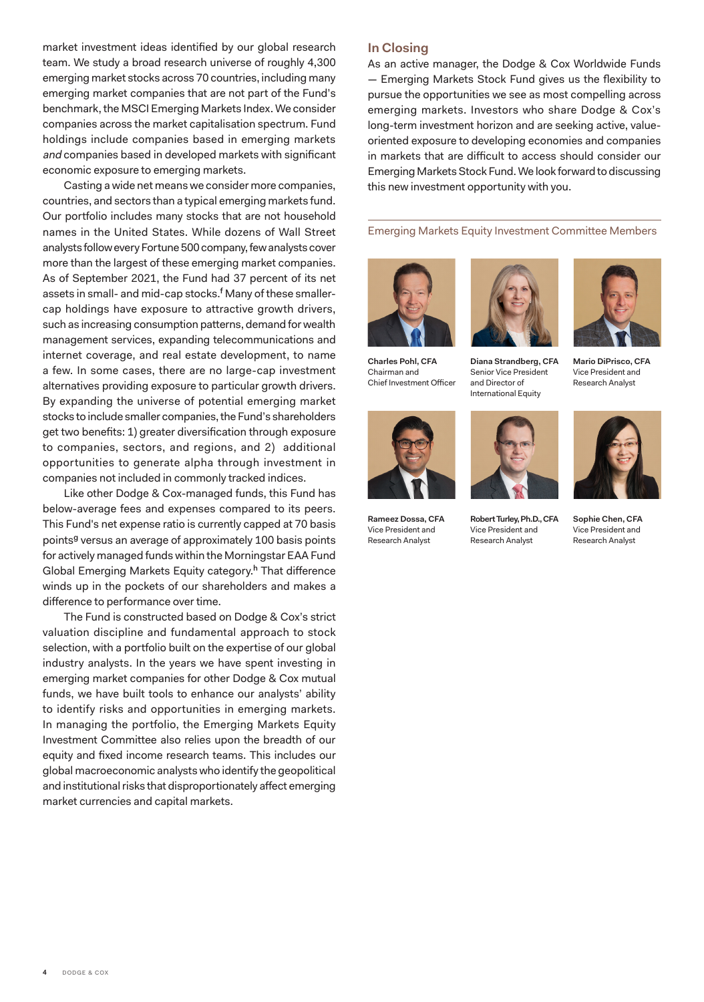market investment ideas identified by our global research team. We study a broad research universe of roughly 4,300 emerging market stocks across 70 countries, including many emerging market companies that are not part of the Fund's benchmark, the MSCI Emerging Markets Index. We consider companies across the market capitalisation spectrum. Fund holdings include companies based in emerging markets and companies based in developed markets with significant economic exposure to emerging markets.

Casting a wide net means we consider more companies, countries, and sectors than a typical emerging markets fund. Our portfolio includes many stocks that are not household names in the United States. While dozens of Wall Street analysts follow every Fortune 500 company, few analysts cover more than the largest of these emerging market companies. As of September 2021, the Fund had 37 percent of its net assets in small- and mid-cap stocks.<sup>f</sup> Many of these smallercap holdings have exposure to attractive growth drivers, such as increasing consumption patterns, demand for wealth management services, expanding telecommunications and internet coverage, and real estate development, to name a few. In some cases, there are no large-cap investment alternatives providing exposure to particular growth drivers. By expanding the universe of potential emerging market stocks to include smaller companies, the Fund's shareholders get two benefits: 1) greater diversification through exposure to companies, sectors, and regions, and 2) additional opportunities to generate alpha through investment in companies not included in commonly tracked indices.

Like other Dodge & Cox-managed funds, this Fund has below-average fees and expenses compared to its peers. This Fund's net expense ratio is currently capped at 70 basis points<sup>g</sup> versus an average of approximately 100 basis points for actively managed funds within the Morningstar EAA Fund Global Emerging Markets Equity category.<sup>h</sup> That difference winds up in the pockets of our shareholders and makes a difference to performance over time.

The Fund is constructed based on Dodge & Cox's strict valuation discipline and fundamental approach to stock selection, with a portfolio built on the expertise of our global industry analysts. In the years we have spent investing in emerging market companies for other Dodge & Cox mutual funds, we have built tools to enhance our analysts' ability to identify risks and opportunities in emerging markets. In managing the portfolio, the Emerging Markets Equity Investment Committee also relies upon the breadth of our equity and fixed income research teams. This includes our global macroeconomic analysts who identify the geopolitical and institutional risks that disproportionately affect emerging market currencies and capital markets.

# **In Closing**

As an active manager, the Dodge & Cox Worldwide Funds — Emerging Markets Stock Fund gives us the flexibility to pursue the opportunities we see as most compelling across emerging markets. Investors who share Dodge & Cox's long-term investment horizon and are seeking active, valueoriented exposure to developing economies and companies in markets that are difficult to access should consider our Emerging Markets Stock Fund. We look forward to discussing this new investment opportunity with you.

Emerging Markets Equity Investment Committee Members







**Diana Strandberg, CFA** Senior Vice President and Director of International Equity





**Rameez Dossa, CFA**  Vice President and Research Analyst



**Robert Turley, Ph.D., CFA**  Vice President and Research Analyst



**Sophie Chen, CFA** Vice President and Research Analyst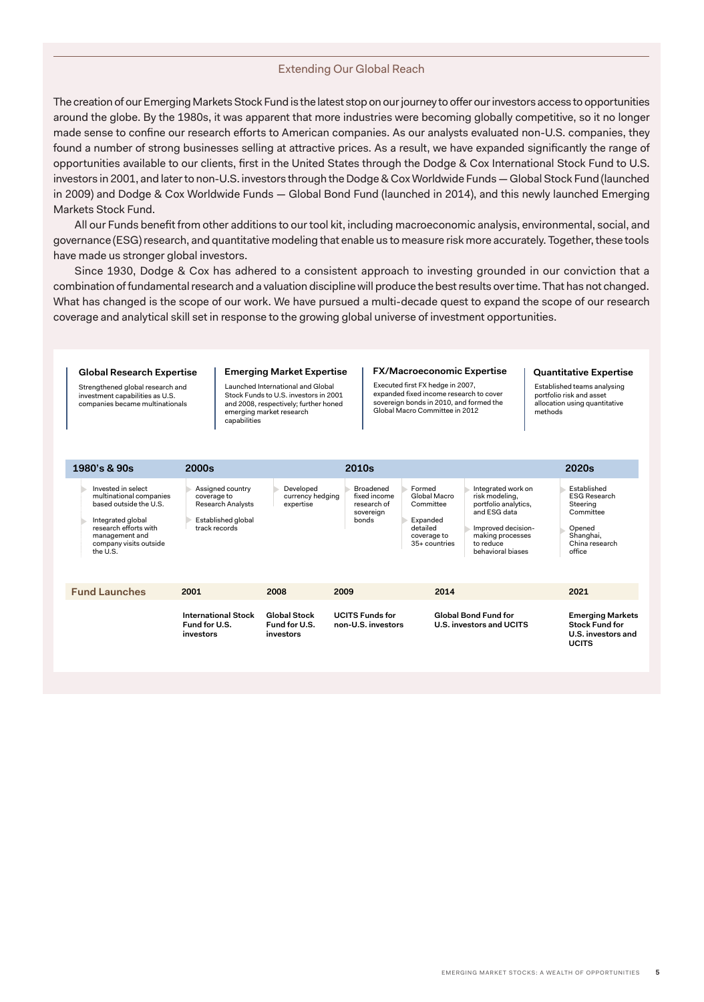#### Extending Our Global Reach

The creation of our Emerging Markets Stock Fund is the latest stop on our journey to offer our investors access to opportunities around the globe. By the 1980s, it was apparent that more industries were becoming globally competitive, so it no longer made sense to confine our research efforts to American companies. As our analysts evaluated non-U.S. companies, they found a number of strong businesses selling at attractive prices. As a result, we have expanded significantly the range of opportunities available to our clients, first in the United States through the Dodge & Cox International Stock Fund to U.S. investors in 2001, and later to non-U.S. investors through the Dodge & Cox Worldwide Funds — Global Stock Fund (launched in 2009) and Dodge & Cox Worldwide Funds — Global Bond Fund (launched in 2014), and this newly launched Emerging Markets Stock Fund.

All our Funds benefit from other additions to our tool kit, including macroeconomic analysis, environmental, social, and governance (ESG) research, and quantitative modeling that enable us to measure risk more accurately. Together, these tools have made us stronger global investors.

Since 1930, Dodge & Cox has adhered to a consistent approach to investing grounded in our conviction that a combination of fundamental research and a valuation discipline will produce the best results over time. That has not changed. What has changed is the scope of our work. We have pursued a multi-decade quest to expand the scope of our research coverage and analytical skill set in response to the growing global universe of investment opportunities.